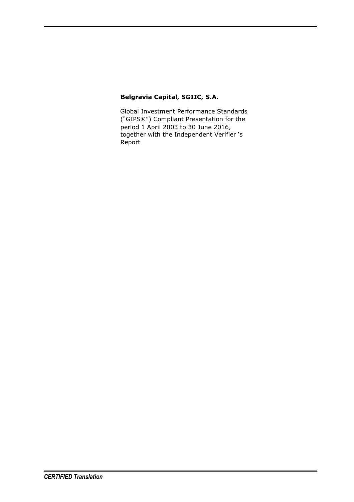#### **Belgravia Capital, SGIIC, S.A.**

Global Investment Performance Standards ("GIPS®") Compliant Presentation for the period 1 April 2003 to 30 June 2016, together with the Independent Verifier 's Report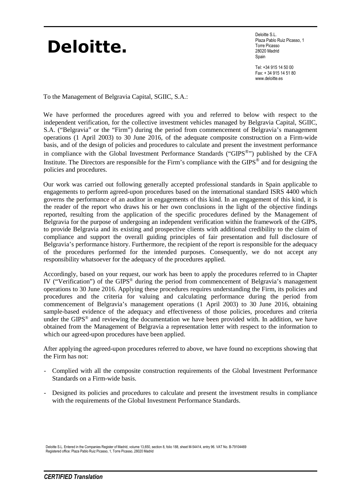# **Deloitte.**

Deloitte S.L. Plaza Pablo Ruiz Picasso, 1 Torre Picasso 28020 Madrid Spain

Tel: +34 915 14 50 00 Fax: + 34 915 14 51 80 www.deloitte.es

To the Management of Belgravia Capital, SGIIC, S.A.:

We have performed the procedures agreed with you and referred to below with respect to the independent verification, for the collective investment vehicles managed by Belgravia Capital, SGIIC, S.A. ("Belgravia" or the "Firm") during the period from commencement of Belgravia's management operations (1 April 2003) to 30 June 2016, of the adequate composite construction on a Firm-wide basis, and of the design of policies and procedures to calculate and present the investment performance in compliance with the Global Investment Performance Standards ("GIPS<sup>®</sup>") published by the CFA Institute. The Directors are responsible for the Firm's compliance with the GIPS® and for designing the policies and procedures.

Our work was carried out following generally accepted professional standards in Spain applicable to engagements to perform agreed-upon procedures based on the international standard ISRS 4400 which governs the performance of an auditor in engagements of this kind. In an engagement of this kind, it is the reader of the report who draws his or her own conclusions in the light of the objective findings reported, resulting from the application of the specific procedures defined by the Management of Belgravia for the purpose of undergoing an independent verification within the framework of the GIPS, to provide Belgravia and its existing and prospective clients with additional credibility to the claim of compliance and support the overall guiding principles of fair presentation and full disclosure of Belgravia's performance history. Furthermore, the recipient of the report is responsible for the adequacy of the procedures performed for the intended purposes. Consequently, we do not accept any responsibility whatsoever for the adequacy of the procedures applied.

Accordingly, based on your request, our work has been to apply the procedures referred to in Chapter IV ("Verification") of the GIPS® during the period from commencement of Belgravia's management operations to 30 June 2016. Applying these procedures requires understanding the Firm, its policies and procedures and the criteria for valuing and calculating performance during the period from commencement of Belgravia's management operations (1 April 2003) to 30 June 2016, obtaining sample-based evidence of the adequacy and effectiveness of those policies, procedures and criteria under the GIPS® and reviewing the documentation we have been provided with. In addition, we have obtained from the Management of Belgravia a representation letter with respect to the information to which our agreed-upon procedures have been applied.

After applying the agreed-upon procedures referred to above, we have found no exceptions showing that the Firm has not:

- Complied with all the composite construction requirements of the Global Investment Performance Standards on a Firm-wide basis.
- Designed its policies and procedures to calculate and present the investment results in compliance with the requirements of the Global Investment Performance Standards.

Deloitte S.L. Entered in the Companies Register of Madrid, volume 13,650, section 8, folio 188, sheet M-54414, entry 96. VAT No. B-79104469 Registered office: Plaza Pablo Ruiz Picasso, 1, Torre Picasso, 28020 Madrid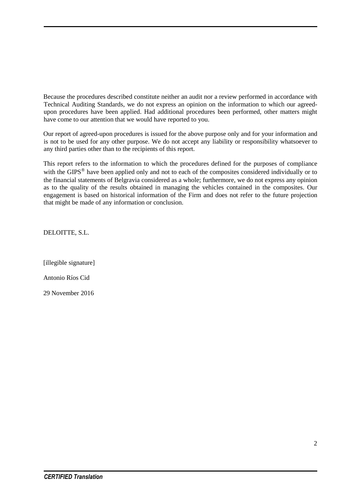Because the procedures described constitute neither an audit nor a review performed in accordance with Technical Auditing Standards, we do not express an opinion on the information to which our agreedupon procedures have been applied. Had additional procedures been performed, other matters might have come to our attention that we would have reported to you.

Our report of agreed-upon procedures is issued for the above purpose only and for your information and is not to be used for any other purpose. We do not accept any liability or responsibility whatsoever to any third parties other than to the recipients of this report.

This report refers to the information to which the procedures defined for the purposes of compliance with the GIPS<sup>®</sup> have been applied only and not to each of the composites considered individually or to the financial statements of Belgravia considered as a whole; furthermore, we do not express any opinion as to the quality of the results obtained in managing the vehicles contained in the composites. Our engagement is based on historical information of the Firm and does not refer to the future projection that might be made of any information or conclusion.

DELOITTE, S.L.

[illegible signature] Antonio Ríos Cid

29 November 2016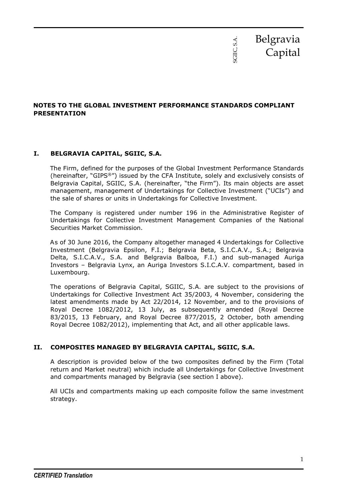

#### **NOTES TO THE GLOBAL INVESTMENT PERFORMANCE STANDARDS COMPLIANT PRESENTATION**

#### **I. BELGRAVIA CAPITAL, SGIIC, S.A.**

The Firm, defined for the purposes of the Global Investment Performance Standards (hereinafter, "GIPS®") issued by the CFA Institute, solely and exclusively consists of Belgravia Capital, SGIIC, S.A. (hereinafter, "the Firm"). Its main objects are asset management, management of Undertakings for Collective Investment ("UCIs") and the sale of shares or units in Undertakings for Collective Investment.

The Company is registered under number 196 in the Administrative Register of Undertakings for Collective Investment Management Companies of the National Securities Market Commission.

As of 30 June 2016, the Company altogether managed 4 Undertakings for Collective Investment (Belgravia Epsilon, F.I.; Belgravia Beta, S.I.C.A.V., S.A.; Belgravia Delta, S.I.C.A.V., S.A. and Belgravia Balboa, F.I.) and sub-managed Auriga Investors – Belgravia Lynx, an Auriga Investors S.I.C.A.V. compartment, based in Luxembourg.

The operations of Belgravia Capital, SGIIC, S.A. are subject to the provisions of Undertakings for Collective Investment Act 35/2003, 4 November, considering the latest amendments made by Act 22/2014, 12 November, and to the provisions of Royal Decree 1082/2012, 13 July, as subsequently amended (Royal Decree 83/2015, 13 February, and Royal Decree 877/2015, 2 October, both amending Royal Decree 1082/2012), implementing that Act, and all other applicable laws.

#### **II. COMPOSITES MANAGED BY BELGRAVIA CAPITAL, SGIIC, S.A.**

A description is provided below of the two composites defined by the Firm (Total return and Market neutral) which include all Undertakings for Collective Investment and compartments managed by Belgravia (see section I above).

All UCIs and compartments making up each composite follow the same investment strategy.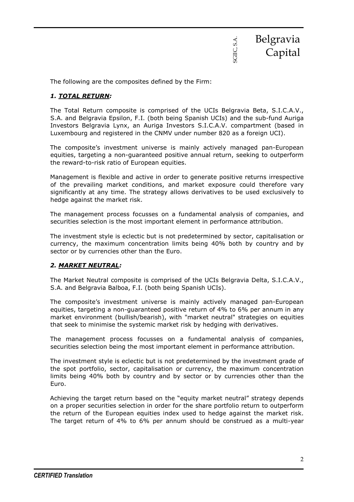

The following are the composites defined by the Firm:

#### *1. TOTAL RETURN:*

The Total Return composite is comprised of the UCIs Belgravia Beta, S.I.C.A.V., S.A. and Belgravia Epsilon, F.I. (both being Spanish UCIs) and the sub-fund Auriga Investors Belgravia Lynx, an Auriga Investors S.I.C.A.V. compartment (based in Luxembourg and registered in the CNMV under number 820 as a foreign UCI).

The composite's investment universe is mainly actively managed pan-European equities, targeting a non-guaranteed positive annual return, seeking to outperform the reward-to-risk ratio of European equities.

Management is flexible and active in order to generate positive returns irrespective of the prevailing market conditions, and market exposure could therefore vary significantly at any time. The strategy allows derivatives to be used exclusively to hedge against the market risk.

The management process focusses on a fundamental analysis of companies, and securities selection is the most important element in performance attribution.

The investment style is eclectic but is not predetermined by sector, capitalisation or currency, the maximum concentration limits being 40% both by country and by sector or by currencies other than the Euro.

#### *2. MARKET NEUTRAL:*

The Market Neutral composite is comprised of the UCIs Belgravia Delta, S.I.C.A.V., S.A. and Belgravia Balboa, F.I. (both being Spanish UCIs).

The composite's investment universe is mainly actively managed pan-European equities, targeting a non-guaranteed positive return of 4% to 6% per annum in any market environment (bullish/bearish), with "market neutral" strategies on equities that seek to minimise the systemic market risk by hedging with derivatives.

The management process focusses on a fundamental analysis of companies, securities selection being the most important element in performance attribution.

The investment style is eclectic but is not predetermined by the investment grade of the spot portfolio, sector, capitalisation or currency, the maximum concentration limits being 40% both by country and by sector or by currencies other than the Euro.

Achieving the target return based on the "equity market neutral" strategy depends on a proper securities selection in order for the share portfolio return to outperform the return of the European equities index used to hedge against the market risk. The target return of 4% to 6% per annum should be construed as a multi-year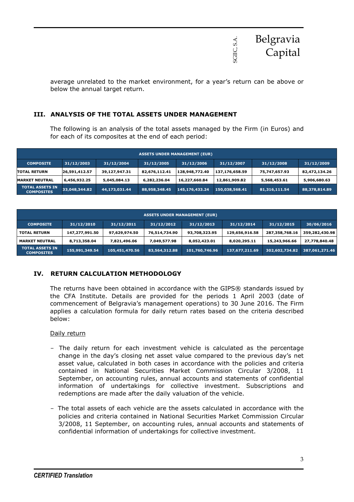

average unrelated to the market environment, for a year's return can be above or below the annual target return.

#### **III. ANALYSIS OF THE TOTAL ASSETS UNDER MANAGEMENT**

The following is an analysis of the total assets managed by the Firm (in Euros) and for each of its composites at the end of each period:

|                                              |               |               |               | <b>ASSETS UNDER MANAGEMENT (EUR)</b> |                |               |               |
|----------------------------------------------|---------------|---------------|---------------|--------------------------------------|----------------|---------------|---------------|
| <b>COMPOSITE</b>                             | 31/12/2003    | 31/12/2004    | 31/12/2005    | 31/12/2006                           | 31/12/2007     | 31/12/2008    | 31/12/2009    |
| <b>TOTAL RETURN</b>                          | 26,591,412.57 | 39,127,947.31 | 82,676,112.41 | 128,948,772.40                       | 137,176,658.59 | 75,747,657.93 | 82,472,134.26 |
| <b>MARKET NEUTRAL</b>                        | 6,456,932.25  | 5,045,084.13  | 6,282,236.04  | 16,227,660.84                        | 12,861,909.82  | 5,568,453.61  | 5,906,680.63  |
| TOTAL ASSET <u>S IN</u><br><b>COMPOSITES</b> | 33,048,344.82 | 44,173,031.44 | 88,958,348.45 | 145,176,433.24                       | 150,038,568.41 | 81,316,111.54 | 88,378,814.89 |

|                                             |                |                | <b>ASSETS UNDER MANAGEMENT (EUR)</b> |                |                |                |                |
|---------------------------------------------|----------------|----------------|--------------------------------------|----------------|----------------|----------------|----------------|
| <b>COMPOSITE</b>                            | 31/12/2010     | 31/12/2011     | 31/12/2012                           | 31/12/2013     | 31/12/2014     | 31/12/2015     | 30/06/2016     |
| <b>TOTAL RETURN</b>                         | 147,277,991.50 | 97,629,974.50  | 76,514,734.90                        | 93,708,323.95  | 129,656,916.58 | 287,358,768.16 | 359,282,430.98 |
| <b>MARKET NEUTRAL</b>                       | 8,713,358.04   | 7,821,496.06   | 7,049,577.98                         | 8,052,423.01   | 8,020,295.11   | 15,243,966.66  | 27,778,840.48  |
| <b>TOTAL ASSETS IN</b><br><b>COMPOSITES</b> | 155,991,349.54 | 105,451,470.56 | 83,564,312.88                        | 101,760,746.96 | 137,677,211.69 | 302,602,734.82 | 387,061,271.46 |

#### **IV. RETURN CALCULATION METHODOLOGY**

The returns have been obtained in accordance with the GIPS® standards issued by the CFA Institute. Details are provided for the periods 1 April 2003 (date of commencement of Belgravia's management operations) to 30 June 2016. The Firm applies a calculation formula for daily return rates based on the criteria described below:

#### Daily return

- − The daily return for each investment vehicle is calculated as the percentage change in the day's closing net asset value compared to the previous day's net asset value, calculated in both cases in accordance with the policies and criteria contained in National Securities Market Commission Circular 3/2008, 11 September, on accounting rules, annual accounts and statements of confidential information of undertakings for collective investment. Subscriptions and redemptions are made after the daily valuation of the vehicle.
- − The total assets of each vehicle are the assets calculated in accordance with the policies and criteria contained in National Securities Market Commission Circular 3/2008, 11 September, on accounting rules, annual accounts and statements of confidential information of undertakings for collective investment.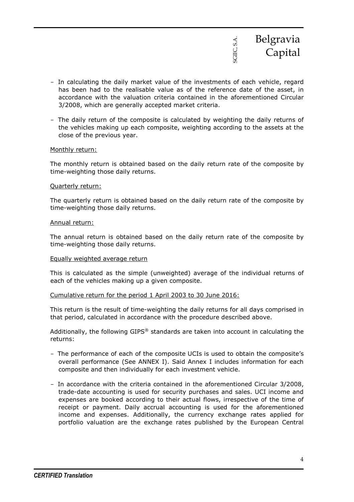

- − In calculating the daily market value of the investments of each vehicle, regard has been had to the realisable value as of the reference date of the asset, in accordance with the valuation criteria contained in the aforementioned Circular 3/2008, which are generally accepted market criteria.
- − The daily return of the composite is calculated by weighting the daily returns of the vehicles making up each composite, weighting according to the assets at the close of the previous year.

#### Monthly return:

The monthly return is obtained based on the daily return rate of the composite by time-weighting those daily returns.

#### Quarterly return:

The quarterly return is obtained based on the daily return rate of the composite by time-weighting those daily returns.

#### Annual return:

The annual return is obtained based on the daily return rate of the composite by time-weighting those daily returns.

#### Equally weighted average return

This is calculated as the simple (unweighted) average of the individual returns of each of the vehicles making up a given composite.

#### Cumulative return for the period 1 April 2003 to 30 June 2016:

This return is the result of time-weighting the daily returns for all days comprised in that period, calculated in accordance with the procedure described above.

Additionally, the following GIPS® standards are taken into account in calculating the returns:

- − The performance of each of the composite UCIs is used to obtain the composite's overall performance (See ANNEX I). Said Annex I includes information for each composite and then individually for each investment vehicle.
- − In accordance with the criteria contained in the aforementioned Circular 3/2008, trade-date accounting is used for security purchases and sales. UCI income and expenses are booked according to their actual flows, irrespective of the time of receipt or payment. Daily accrual accounting is used for the aforementioned income and expenses. Additionally, the currency exchange rates applied for portfolio valuation are the exchange rates published by the European Central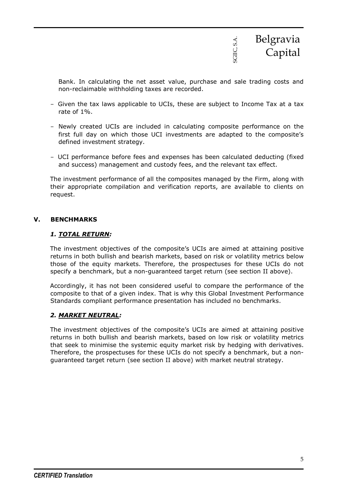

Bank. In calculating the net asset value, purchase and sale trading costs and non-reclaimable withholding taxes are recorded.

- − Given the tax laws applicable to UCIs, these are subject to Income Tax at a tax rate of 1%.
- − Newly created UCIs are included in calculating composite performance on the first full day on which those UCI investments are adapted to the composite's defined investment strategy.
- − UCI performance before fees and expenses has been calculated deducting (fixed and success) management and custody fees, and the relevant tax effect.

The investment performance of all the composites managed by the Firm, along with their appropriate compilation and verification reports, are available to clients on request.

#### **V. BENCHMARKS**

#### *1. TOTAL RETURN:*

The investment objectives of the composite's UCIs are aimed at attaining positive returns in both bullish and bearish markets, based on risk or volatility metrics below those of the equity markets. Therefore, the prospectuses for these UCIs do not specify a benchmark, but a non-guaranteed target return (see section II above).

Accordingly, it has not been considered useful to compare the performance of the composite to that of a given index. That is why this Global Investment Performance Standards compliant performance presentation has included no benchmarks.

#### *2. MARKET NEUTRAL:*

The investment objectives of the composite's UCIs are aimed at attaining positive returns in both bullish and bearish markets, based on low risk or volatility metrics that seek to minimise the systemic equity market risk by hedging with derivatives. Therefore, the prospectuses for these UCIs do not specify a benchmark, but a nonguaranteed target return (see section II above) with market neutral strategy.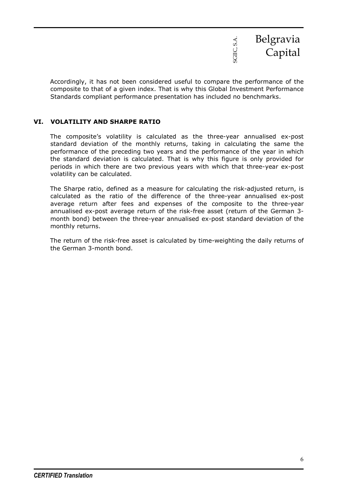

Accordingly, it has not been considered useful to compare the performance of the composite to that of a given index. That is why this Global Investment Performance Standards compliant performance presentation has included no benchmarks.

#### **VI. VOLATILITY AND SHARPE RATIO**

The composite's volatility is calculated as the three-year annualised ex-post standard deviation of the monthly returns, taking in calculating the same the performance of the preceding two years and the performance of the year in which the standard deviation is calculated. That is why this figure is only provided for periods in which there are two previous years with which that three-year ex-post volatility can be calculated.

The Sharpe ratio, defined as a measure for calculating the risk-adjusted return, is calculated as the ratio of the difference of the three-year annualised ex-post average return after fees and expenses of the composite to the three-year annualised ex-post average return of the risk-free asset (return of the German 3 month bond) between the three-year annualised ex-post standard deviation of the monthly returns.

The return of the risk-free asset is calculated by time-weighting the daily returns of the German 3-month bond.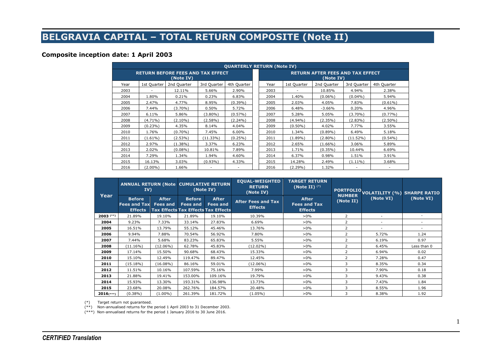# **BELGRAVIA CAPITAL – TOTAL RETURN COMPOSITE (Note II)**

#### **Composite inception date: 1 April 2003**

|      |             |                                                       |             | <b>QUARTERLY RETURN (Note IV)</b> |                                                      |             |             |             |             |  |  |
|------|-------------|-------------------------------------------------------|-------------|-----------------------------------|------------------------------------------------------|-------------|-------------|-------------|-------------|--|--|
|      |             | <b>RETURN BEFORE FEES AND TAX EFFECT</b><br>(Note IV) |             |                                   | <b>RETURN AFTER FEES AND TAX EFFECT</b><br>(Note IV) |             |             |             |             |  |  |
| Year | 1st Quarter | 2nd Quarter                                           | 3rd Quarter | 4th Quarter                       | Year                                                 | 1st Quarter | 2nd Quarter | 3rd Quarter | 4th Quarter |  |  |
| 2003 |             | 12.11%                                                | 5.66%       | 2.90%                             | 2003                                                 |             | 10.85%      | 4.94%       | 2.38%       |  |  |
| 2004 | 1.80%       | 0.21%                                                 | 0.23%       | 6.83%                             | 2004                                                 | 1.40%       | $(0.06\%)$  | $(0.04\%)$  | 5.94%       |  |  |
| 2005 | 2.47%       | 4.77%                                                 | 8.95%       | $(0.39\%)$                        | 2005                                                 | 2.03%       | 4.05%       | 7.83%       | $(0.61\%)$  |  |  |
| 2006 | 7.44%       | $(3.70\%)$                                            | 0.50%       | 5.72%                             | 2006                                                 | 6.48%       | $-3.66%$    | 0.20%       | 4.96%       |  |  |
| 2007 | 6.11%       | 5.86%                                                 | $(3.80\%)$  | $(0.57\%)$                        | 2007                                                 | 5.28%       | 5.05%       | $(3.70\%)$  | $(0.77\%)$  |  |  |
| 2008 | $(4.71\%)$  | $(2.10\%)$                                            | $(2.58\%)$  | $(2.24\%)$                        | 2008                                                 | $(4.94\%)$  | (2.35%)     | $(2.83\%)$  | $(2.50\%)$  |  |  |
| 2009 | $(0.23\%)$  | 4.35%                                                 | 8.14%       | 4.04%                             | 2009                                                 | $(0.50\%)$  | 4.02%       | 7.77%       | 3.55%       |  |  |
| 2010 | 1.76%       | $(0.70\%)$                                            | 7.45%       | 6.00%                             | 2010                                                 | 1.34%       | (0.89%)     | 6.49%       | 5.18%       |  |  |
| 2011 | $(1.61\%)$  | $(2.53\%)$                                            | (11.33%)    | (0.25%)                           | 2011                                                 | $(1.89\%)$  | (2.80%)     | (11.52%)    | $(0.54\%)$  |  |  |
| 2012 | 2.97%       | $(1.38\%)$                                            | 3.37%       | 6.23%                             | 2012                                                 | 2.65%       | (1.66%)     | 3.06%       | 5.89%       |  |  |
| 2013 | 2.02%       | $(0.08\%)$                                            | 10.81%      | 7.89%                             | 2013                                                 | 1.71%       | $(0.35\%)$  | 10.44%      | 6.69%       |  |  |
| 2014 | 7.29%       | 1.34%                                                 | 1.94%       | 4.60%                             | 2014                                                 | 6.37%       | 0.98%       | 1.51%       | 3.91%       |  |  |
| 2015 | 16.13%      | 3.03%                                                 | $(0.93\%)$  | 4.33%                             | 2015                                                 | 14.28%      | 2.49%       | $(1.11\%)$  | 3.68%       |  |  |
| 2016 | $(2.00\%)$  | 1.66%                                                 |             |                                   | 2016                                                 | $(2.29\%)$  | 1.32%       |             |             |  |  |

| Year         | <b>ANNUAL RETURN (Note CUMULATIVE RETURN)</b><br>IV)   |                                 | (Note IV)                        |                                                                               | <b>EQUAL-WEIGHTED</b><br><b>RETURN</b><br>(Note IV) | <b>TARGET RETURN</b><br>(Note II) $(*)$               |                | PORTFOLIO VOLATILITY (%) SHARPE RATIO |             |
|--------------|--------------------------------------------------------|---------------------------------|----------------------------------|-------------------------------------------------------------------------------|-----------------------------------------------------|-------------------------------------------------------|----------------|---------------------------------------|-------------|
|              | <b>Before</b><br><b>Fees and Tax</b><br><b>Effects</b> | <b>After</b><br><b>Fees and</b> | <b>Before</b><br><b>Fees and</b> | <b>After</b><br><b>Fees and</b><br><b>Tax Effects Tax Effects Tax Effects</b> | <b>After Fees and Tax</b><br><b>Effects</b>         | <b>After</b><br><b>Fees and Tax</b><br><b>Effects</b> | (Note II)      | (Note VI)                             | (Note VI)   |
| $2003$ (**)  | 21.89%                                                 | 19.10%                          | 21.89%                           | 19.10%                                                                        | 10.39%                                              | $>0\%$                                                | 2              |                                       |             |
| 2004         | 9.23%                                                  | 7.33%                           | 33.14%                           | 27.83%                                                                        | 6.69%                                               | $>0\%$                                                | 2              |                                       |             |
| 2005         | 16.51%                                                 | 13.79%                          | 55.12%                           | 45.46%                                                                        | 13.76%                                              | $>0\%$                                                | $\overline{2}$ |                                       |             |
| 2006         | 9.94%                                                  | 7.88%                           | 70.54%                           | 56.92%                                                                        | 7.80%                                               | $>0\%$                                                | 2              | 5.72%                                 | 1.24        |
| 2007         | 7.44%                                                  | 5.68%                           | 83.23%                           | 65.83%                                                                        | 5.55%                                               | $>0\%$                                                | 2              | 6.19%                                 | 0.97        |
| 2008         | $(11.16\%)$                                            | $(12.06\%)$                     | 62.78%                           | 45.83%                                                                        | $(12.02\%)$                                         | $>0\%$                                                | 2              | 6.45%                                 | Less than 0 |
| 2009         | 17.14%                                                 | 15.50%                          | 90.68%                           | 68.43%                                                                        | 15.33%                                              | $>0\%$                                                | $\overline{2}$ | 6.94%                                 | 0.02        |
| 2010         | 15.10%                                                 | 12.49%                          | 119.47%                          | 89.47%                                                                        | 12.45%                                              | $>0\%$                                                | 2              | 7.28%                                 | 0.47        |
| 2011         | $(15.18\%)$                                            | $(16.08\%)$                     | 86.16%                           | 59.01%                                                                        | $(12.06\%)$                                         | $>0\%$                                                | 3              | 8.35%                                 | 0.34        |
| 2012         | 11.51%                                                 | 10.16%                          | 107.59%                          | 75.16%                                                                        | 7.99%                                               | $>0\%$                                                | 3              | 7.90%                                 | 0.18        |
| 2013         | 21.88%                                                 | 19.41%                          | 153.00%                          | 109.16%                                                                       | 19.79%                                              | $>0\%$                                                | 3              | 9.43%                                 | 0.38        |
| 2014         | 15.93%                                                 | 13.30%                          | 193.31%                          | 136.98%                                                                       | 13.73%                                              | $>0\%$                                                | 3              | 7.43%                                 | 1.84        |
| 2015         | 23.68%                                                 | 20.08%                          | 262.76%                          | 184.57%                                                                       | 20.48%                                              | $>0\%$                                                | 3              | 8.55%                                 | 1.96        |
| $2016$ (***) | $(0.38\%)$                                             | $(1.00\%)$                      | 261.39%                          | 181.72%                                                                       | $(1.05\%)$                                          | $>0\%$                                                | 3              | 8.38%                                 | 1.92        |

(\*) Target return not guaranteed.

(\*\*) Non-annualised returns for the period 1 April 2003 to 31 December 2003.

(\*\*\*) Non-annualised returns for the period 1 January 2016 to 30 June 2016.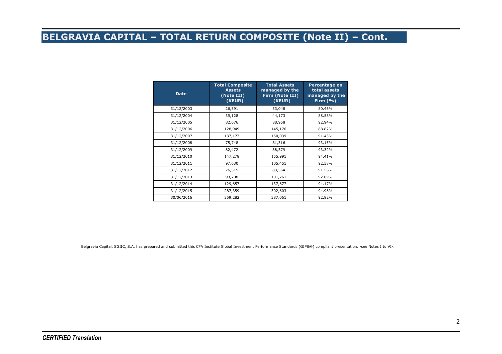### **BELGRAVIA CAPITAL – TOTAL RETURN COMPOSITE (Note II) – Cont.**

| <b>Date</b> | <b>Total Composite</b><br><b>Assets</b><br>(Note III)<br>(KEUR) | <b>Total Assets</b><br>managed by the<br>Firm (Note III)<br>(KEUR) | <b>Percentage on</b><br>total assets<br>managed by the<br>Firm $(% )$ |
|-------------|-----------------------------------------------------------------|--------------------------------------------------------------------|-----------------------------------------------------------------------|
| 31/12/2003  | 26,591                                                          | 33,048                                                             | 80.46%                                                                |
| 31/12/2004  | 39,128                                                          | 44,173                                                             | 88.58%                                                                |
| 31/12/2005  | 82,676                                                          | 88,958                                                             | 92.94%                                                                |
| 31/12/2006  | 128,949                                                         | 145,176                                                            | 88.82%                                                                |
| 31/12/2007  | 137,177                                                         | 150,039                                                            | 91.43%                                                                |
| 31/12/2008  | 75,748                                                          | 81,316                                                             | 93.15%                                                                |
| 31/12/2009  | 82,472                                                          | 88,379                                                             | 93.32%                                                                |
| 31/12/2010  | 147,278                                                         | 155,991                                                            | 94.41%                                                                |
| 31/12/2011  | 97,630                                                          | 105,451                                                            | 92.58%                                                                |
| 31/12/2012  | 76,515                                                          | 83,564                                                             | 91.56%                                                                |
| 31/12/2013  | 93,708                                                          | 101,761                                                            | 92.09%                                                                |
| 31/12/2014  | 129,657                                                         | 137,677                                                            | 94.17%                                                                |
| 31/12/2015  | 287,359                                                         | 302,603                                                            | 94.96%                                                                |
| 30/06/2016  | 359,282                                                         | 387,061                                                            | 92.82%                                                                |

Belgravia Capital, SGIIC, S.A. has prepared and submitted this CFA Institute Global Investment Performance Standards (GIPS®) compliant presentation. -see Notes I to VI-.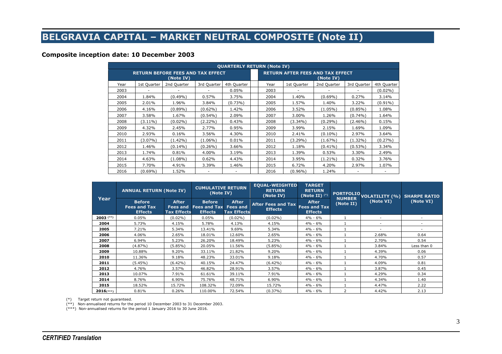# **BELGRAVIA CAPITAL – MARKET NEUTRAL COMPOSITE (Note II)**

#### **Composite inception date: 10 December 2003**

|      |             |                                                       |             | <b>QUARTERLY RETURN (Note IV)</b> |      |                                                      |             |             |             |  |
|------|-------------|-------------------------------------------------------|-------------|-----------------------------------|------|------------------------------------------------------|-------------|-------------|-------------|--|
|      |             | <b>RETURN BEFORE FEES AND TAX EFFECT</b><br>(Note IV) |             |                                   |      | <b>RETURN AFTER FEES AND TAX EFFECT</b><br>(Note IV) |             |             |             |  |
| Year | 1st Quarter | 2nd Quarter                                           | 3rd Quarter | 4th Quarter                       | Year | 1st Quarter                                          | 2nd Quarter | 3rd Quarter | 4th Quarter |  |
| 2003 |             |                                                       |             | 0.05%                             | 2003 |                                                      |             |             | $(0.02\%)$  |  |
| 2004 | 1.84%       | $(0.49\%)$                                            | 0.57%       | 3.75%                             | 2004 | 1.40%                                                | $(0.69\%)$  | 0.27%       | 3.14%       |  |
| 2005 | 2.01%       | 1.96%                                                 | 3.84%       | $(0.73\%)$                        | 2005 | 1.57%                                                | 1.40%       | 3.22%       | $(0.91\%)$  |  |
| 2006 | 4.16%       | $(0.89\%)$                                            | (0.62%)     | 1.42%                             | 2006 | 3.52%                                                | (1.05%)     | $(0.85\%)$  | 1.08%       |  |
| 2007 | 3.58%       | 1.67%                                                 | $(0.54\%)$  | 2.09%                             | 2007 | 3.00%                                                | 1.26%       | $(0.74\%)$  | 1.64%       |  |
| 2008 | $(3.11\%)$  | $(0.02\%)$                                            | $(2.22\%)$  | 0.43%                             | 2008 | $(3.34\%)$                                           | $(0.29\%)$  | (2.46%)     | 0.15%       |  |
| 2009 | 4.32%       | 2.45%                                                 | 2.77%       | 0.95%                             | 2009 | 3.99%                                                | 2.15%       | 1.69%       | 1.09%       |  |
| 2010 | 2.93%       | 0.16%                                                 | 3.56%       | 4.30%                             | 2010 | 2.41%                                                | $(0.10\%)$  | 2.97%       | 3.64%       |  |
| 2011 | $(3.07\%)$  | $(1.42\%)$                                            | $(1.06\%)$  | 0.01%                             | 2011 | $(3.29\%)$                                           | (1.67%)     | $(1.32\%)$  | (0.27%)     |  |
| 2012 | 1.46%       | $(0.14\%)$                                            | $(0.26\%)$  | 3.66%                             | 2012 | 1.18%                                                | $(0.41\%)$  | (0.53%)     | 3.34%       |  |
| 2013 | 1.74%       | 0.81%                                                 | 4.00%       | 3.19%                             | 2013 | 1.39%                                                | 0.53%       | 3.30%       | 2.49%       |  |
| 2014 | 4.63%       | $(1.08\%)$                                            | 0.62%       | 4.43%                             | 2014 | 3.95%                                                | $(1.21\%)$  | 0.32%       | 3.76%       |  |
| 2015 | 7.70%       | 4.91%                                                 | 3.39%       | 1.46%                             | 2015 | 6.72%                                                | 4.20%       | 2.97%       | 1.07%       |  |
| 2016 | $(0.69\%)$  | 1.52%                                                 |             |                                   | 2016 | $(0.96\%)$                                           | 1.24%       |             |             |  |

|              | <b>ANNUAL RETURN (Note IV)</b>                         |                                                       | <b>CUMULATIVE RETURN</b><br>(Note IV)                  |                                                       | <b>EQUAL-WEIGHTED</b><br><b>RETURN</b><br>(Note IV) | <b>TARGET</b><br><b>RETURN</b><br>(Note II) $(*)$     | PORTFOLIO.<br><b>NUMBER</b> | <b>VOLATILITY (%) SHARPE RATIO</b> |                          |
|--------------|--------------------------------------------------------|-------------------------------------------------------|--------------------------------------------------------|-------------------------------------------------------|-----------------------------------------------------|-------------------------------------------------------|-----------------------------|------------------------------------|--------------------------|
| Year         | <b>Before</b><br><b>Fees and Tax</b><br><b>Effects</b> | <b>After</b><br><b>Fees and</b><br><b>Tax Effects</b> | <b>Before</b><br><b>Fees and Tax</b><br><b>Effects</b> | <b>After</b><br><b>Fees and</b><br><b>Tax Effects</b> | <b>After Fees and Tax</b><br><b>Effects</b>         | <b>After</b><br><b>Fees and Tax</b><br><b>Effects</b> | (Note II)                   | (Note VI)                          | (Note VI)                |
| $2003$ (**)  | 0.05%                                                  | $(0.02\%)$                                            | 0.05%                                                  | $(0.02\%)$                                            | $(0.02\%)$                                          | $4\% - 6\%$                                           |                             |                                    |                          |
| 2004         | 5.73%                                                  | 4.15%                                                 | 5.78%                                                  | 4.13%                                                 | 4.15%                                               | $4\% - 6\%$                                           |                             | $\sim$                             | $\overline{\phantom{a}}$ |
| 2005         | 7.21%                                                  | 5.34%                                                 | 13.41%                                                 | 9.69%                                                 | 5.34%                                               | 4% - 6%                                               |                             |                                    |                          |
| 2006         | 4.06%                                                  | 2.65%                                                 | 18.01%                                                 | 12.60%                                                | 2.65%                                               | $4\% - 6\%$                                           |                             | 2.68%                              | 0.64                     |
| 2007         | 6.94%                                                  | 5.23%                                                 | 26.20%                                                 | 18.49%                                                | 5.23%                                               | $4\% - 6\%$                                           |                             | 2.70%                              | 0.54                     |
| 2008         | (4.87%)                                                | $(5.85\%)$                                            | 20.05%                                                 | 11.56%                                                | $(5.85\%)$                                          | $4\% - 6\%$                                           |                             | 3.84%                              | Less than 0              |
| 2009         | 10.88%                                                 | 9.20%                                                 | 33.11%                                                 | 21.82%                                                | 9.20%                                               | $4\% - 6\%$                                           |                             | 4.39%                              | 0.06                     |
| 2010         | 11.36%                                                 | 9.18%                                                 | 48.23%                                                 | 33.01%                                                | 9.18%                                               | $4\% - 6\%$                                           |                             | 4.70%                              | 0.57                     |
| 2011         | $(5.45\%)$                                             | $(6.42\%)$                                            | 40.15%                                                 | 24.47%                                                | $(6.42\%)$                                          | $4\% - 6\%$                                           |                             | 4.09%                              | 0.81                     |
| 2012         | 4.76%                                                  | 3.57%                                                 | 46.82%                                                 | 28.91%                                                | 3.57%                                               | $4\% - 6\%$                                           |                             | 3.87%                              | 0.45                     |
| 2013         | 10.07%                                                 | 7.91%                                                 | 61.61%                                                 | 39.11%                                                | 7.91%                                               | $4\% - 6\%$                                           |                             | 4.29%                              | 0.34                     |
| 2014         | 8.76%                                                  | 6.90%                                                 | 75.76%                                                 | 48.71%                                                | 6.90%                                               | $4\% - 6\%$                                           |                             | 4.34%                              | 1.40                     |
| 2015         | 18.52%                                                 | 15.72%                                                | 108.32%                                                | 72.09%                                                | 15.72%                                              | 4% - 6%                                               |                             | 4.47%                              | 2.22                     |
| $2016$ (***) | 0.81%                                                  | 0.26%                                                 | 110.00%                                                | 72.54%                                                | $(0.37\%)$                                          | $4\% - 6\%$                                           | 2                           | 4.42%                              | 2.13                     |

(\*) Target return not guaranteed.

(\*\*) Non-annualised returns for the period 10 December 2003 to 31 December 2003.

(\*\*\*) Non-annualised returns for the period 1 January 2016 to 30 June 2016.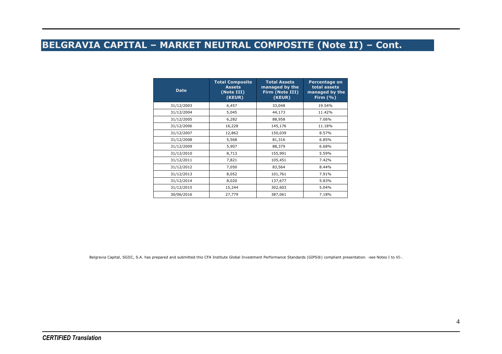### **BELGRAVIA CAPITAL – MARKET NEUTRAL COMPOSITE (Note II) – Cont.**

| <b>Date</b> | <b>Total Composite</b><br><b>Assets</b><br>(Note III)<br>(KEUR) | <b>Total Assets</b><br>managed by the<br>Firm (Note III)<br>(KEUR) | <b>Percentage on</b><br>total assets<br>managed by the<br>Firm $(% )$ |
|-------------|-----------------------------------------------------------------|--------------------------------------------------------------------|-----------------------------------------------------------------------|
| 31/12/2003  | 6,457                                                           | 33,048                                                             | 19.54%                                                                |
| 31/12/2004  | 5,045                                                           | 44,173                                                             | 11.42%                                                                |
| 31/12/2005  | 6,282                                                           | 88,958                                                             | 7.06%                                                                 |
| 31/12/2006  | 16,228                                                          | 145,176                                                            | 11.18%                                                                |
| 31/12/2007  | 12,862                                                          | 150,039                                                            | 8.57%                                                                 |
| 31/12/2008  | 5,568                                                           | 81,316                                                             | 6.85%                                                                 |
| 31/12/2009  | 5,907                                                           | 88,379                                                             | 6.68%                                                                 |
| 31/12/2010  | 8,713                                                           | 155,991                                                            | 5.59%                                                                 |
| 31/12/2011  | 7,821                                                           | 105,451                                                            | 7.42%                                                                 |
| 31/12/2012  | 7,050                                                           | 83,564                                                             | 8.44%                                                                 |
| 31/12/2013  | 8,052                                                           | 101,761                                                            | 7.91%                                                                 |
| 31/12/2014  | 8,020                                                           | 137,677                                                            | 5.83%                                                                 |
| 31/12/2015  | 15,244                                                          | 302,603                                                            | 5.04%                                                                 |
| 30/06/2016  | 27,779                                                          | 387,061                                                            | 7.18%                                                                 |

Belgravia Capital, SGIIC, S.A. has prepared and submitted this CFA Institute Global Investment Performance Standards (GIPS®) compliant presentation. -see Notes I to VI-.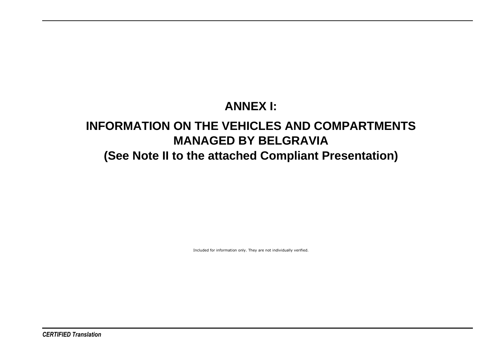# **ANNEX I:**

# **INFORMATION ON THE VEHICLES AND COMPARTMENTS MANAGED BY BELGRAVIA(See Note II to the attached Compliant Presentation)**

Included for information only. They are not individually verified.

*CERTIFIED Translation*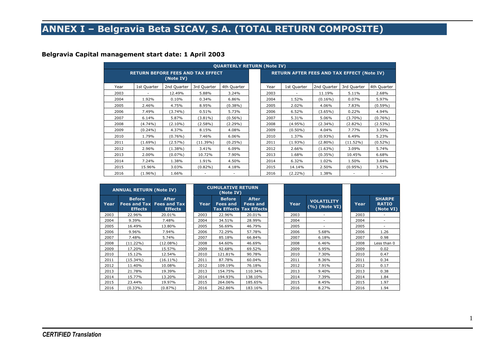# **ANNEX I – Belgravia Beta SICAV, S.A. (TOTAL RETURN COMPOSITE)**

#### **Belgravia Capital management start date: 1 April 2003**

|      |             |             |                                          | <b>QUARTERLY RETURN (Note IV)</b> |      |                                                   |             |             |             |
|------|-------------|-------------|------------------------------------------|-----------------------------------|------|---------------------------------------------------|-------------|-------------|-------------|
|      |             | (Note IV)   | <b>RETURN BEFORE FEES AND TAX EFFECT</b> |                                   |      | <b>RETURN AFTER FEES AND TAX EFFECT (Note IV)</b> |             |             |             |
| Year | 1st Quarter | 2nd Quarter | 3rd Quarter                              | 4th Quarter                       | Year | 1st Quarter                                       | 2nd Quarter | 3rd Quarter | 4th Quarter |
| 2003 |             | 12.49%      | 5.88%                                    | 3.24%                             | 2003 |                                                   | 11.19%      | 5.11%       | 2.68%       |
| 2004 | 1.92%       | 0.10%       | 0.34%                                    | 6.86%                             | 2004 | 1.52%                                             | $(0.16\%)$  | 0.07%       | 5.97%       |
| 2005 | 2.46%       | 4.75%       | 8.95%                                    | $(0.38\%)$                        | 2005 | 2.02%                                             | 4.06%       | 7.83%       | $(0.59\%)$  |
| 2006 | 7.49%       | $(3.74\%)$  | 0.51%                                    | 5.73%                             | 2006 | 6.52%                                             | $(3.65\%)$  | 0.22%       | 4.94%       |
| 2007 | 6.14%       | 5.87%       | $(3.81\%)$                               | $(0.56\%)$                        | 2007 | 5.31%                                             | 5.06%       | $(3.70\%)$  | $(0.76\%)$  |
| 2008 | $(4.74\%)$  | $(2.10\%)$  | $(2.58\%)$                               | $(2.29\%)$                        | 2008 | $(4.95\%)$                                        | $(2.34\%)$  | $(2.82\%)$  | $(2.53\%)$  |
| 2009 | $(0.24\%)$  | 4.37%       | 8.15%                                    | 4.08%                             | 2009 | $(0.50\%)$                                        | 4.04%       | 7.77%       | 3.59%       |
| 2010 | 1.79%       | $(0.76\%)$  | 7.46%                                    | 6.06%                             | 2010 | 1.37%                                             | $(0.93\%)$  | 6.49%       | 5.23%       |
| 2011 | $(1.69\%)$  | (2.57%)     | $(11.39\%)$                              | $(0.25\%)$                        | 2011 | $(1.93\%)$                                        | $(2.80\%)$  | $(11.52\%)$ | $(0.52\%)$  |
| 2012 | 2.96%       | $(1.38\%)$  | 3.41%                                    | 6.09%                             | 2012 | 2.66%                                             | $(1.63\%)$  | 3.09%       | 5.74%       |
| 2013 | 2.00%       | $(0.07\%)$  | 10.72%                                   | 7.90%                             | 2013 | 1.68%                                             | $(0.35\%)$  | 10.45%      | 6.68%       |
| 2014 | 7.24%       | 1.38%       | 1.91%                                    | 4.50%                             | 2014 | 6.32%                                             | 1.02%       | 1.50%       | 3.84%       |
| 2015 | 15.96%      | 3.03%       | $(0.82\%)$                               | 4.18%                             | 2015 | 14.14%                                            | 2.50%       | $(0.95\%)$  | 3.53%       |
| 2016 | $(1.96\%)$  | 1.66%       |                                          |                                   | 2016 | $(2.22\%)$                                        | 1.38%       |             |             |

|      | <b>ANNUAL RETURN (Note IV)</b>                         |                                                       |      | <b>CUMULATIVE RETURN</b><br>(Note IV) |                                                                   |      |                                      |      |                                            |
|------|--------------------------------------------------------|-------------------------------------------------------|------|---------------------------------------|-------------------------------------------------------------------|------|--------------------------------------|------|--------------------------------------------|
| Year | <b>Before</b><br><b>Fees and Tax</b><br><b>Effects</b> | <b>After</b><br><b>Fees and Tax</b><br><b>Effects</b> | Year | <b>Before</b><br><b>Fees and</b>      | <b>After</b><br><b>Fees and</b><br><b>Tax Effects Tax Effects</b> | Year | <b>VOLATILITY</b><br>$(%)$ (Note VI) | Year | <b>SHARPE</b><br><b>RATIO</b><br>(Note VI) |
| 2003 | 22.96%                                                 | 20.01%                                                | 2003 | 22.96%                                | 20.01%                                                            | 2003 |                                      | 2003 |                                            |
| 2004 | 9.39%                                                  | 7.48%                                                 | 2004 | 34.51%                                | 28.99%                                                            | 2004 | ۰                                    | 2004 | -                                          |
| 2005 | 16.49%                                                 | 13.80%                                                | 2005 | 56.69%                                | 46.79%                                                            | 2005 |                                      | 2005 |                                            |
| 2006 | 9.96%                                                  | 7.94%                                                 | 2006 | 72.29%                                | 57.78%                                                            | 2006 | 5.68%                                | 2006 | 1.26                                       |
| 2007 | 7.48%                                                  | 5.74%                                                 | 2007 | 85.18%                                | 66.84%                                                            | 2007 | 6.18%                                | 2007 | 0.98                                       |
| 2008 | $(11.22\%)$                                            | $(12.08\%)$                                           | 2008 | 64.60%                                | 46.69%                                                            | 2008 | 6.46%                                | 2008 | Less than 0                                |
| 2009 | 17.20%                                                 | 15.57%                                                | 2009 | 92.68%                                | 69.52%                                                            | 2009 | 6.95%                                | 2009 | 0.02                                       |
| 2010 | 15.12%                                                 | 12.54%                                                | 2010 | 121.81%                               | 90.78%                                                            | 2010 | 7.30%                                | 2010 | 0.47                                       |
| 2011 | $(15.34\%)$                                            | $(16.11\%)$                                           | 2011 | 87.78%                                | 60.04%                                                            | 2011 | 8.36%                                | 2011 | 0.34                                       |
| 2012 | 11.40%                                                 | 10.08%                                                | 2012 | 109.19%                               | 76.18%                                                            | 2012 | 7.91%                                | 2012 | 0.17                                       |
| 2013 | 21.78%                                                 | 19.39%                                                | 2013 | 154.75%                               | 110.34%                                                           | 2013 | 9.40%                                | 2013 | 0.38                                       |
| 2014 | 15.77%                                                 | 13.20%                                                | 2014 | 194.93%                               | 138.10%                                                           | 2014 | 7.39%                                | 2014 | 1.84                                       |
| 2015 | 23.44%                                                 | 19.97%                                                | 2015 | 264.06%                               | 185.65%                                                           | 2015 | 8.45%                                | 2015 | 1.97                                       |
| 2016 | $(0.33\%)$                                             | $(0.87\%)$                                            | 2016 | 262.86%                               | 183.16%                                                           | 2016 | 8.27%                                | 2016 | 1.94                                       |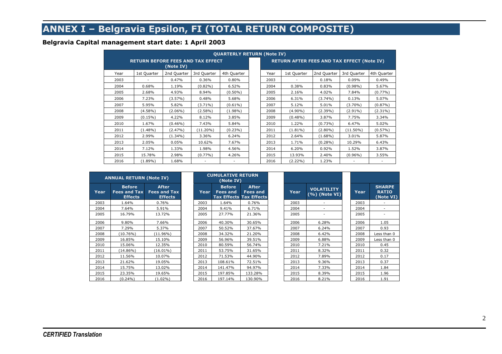# **ANNEX I – Belgravia Epsilon, FI (TOTAL RETURN COMPOSITE)**

#### **Belgravia Capital management start date: 1 April 2003**

|      |                                          |             |             | <b>QUARTERLY RETURN (Note IV)</b> |      |                                                   |             |             |             |
|------|------------------------------------------|-------------|-------------|-----------------------------------|------|---------------------------------------------------|-------------|-------------|-------------|
|      | <b>RETURN BEFORE FEES AND TAX EFFECT</b> | (Note IV)   |             |                                   |      | <b>RETURN AFTER FEES AND TAX EFFECT (Note IV)</b> |             |             |             |
| Year | 1st Quarter                              | 2nd Quarter | 3rd Quarter | 4th Quarter                       | Year | 1st Quarter                                       | 2nd Quarter | 3rd Quarter | 4th Quarter |
| 2003 |                                          | 0.47%       | 0.36%       | 0.80%                             | 2003 |                                                   | 0.18%       | 0.09%       | 0.49%       |
| 2004 | 0.68%                                    | 1.19%       | $(0.82\%)$  | 6.52%                             | 2004 | 0.38%                                             | 0.83%       | $(0.98\%)$  | 5.67%       |
| 2005 | 2.68%                                    | 4.93%       | 8.94%       | $(0.50\%)$                        | 2005 | 2.16%                                             | 4.02%       | 7.84%       | $(0.77\%)$  |
| 2006 | 7.23%                                    | $(3.57\%)$  | 0.48%       | 5.68%                             | 2006 | 6.31%                                             | $(3.74\%)$  | 0.13%       | 5.07%       |
| 2007 | 5.95%                                    | 5.82%       | $(3.71\%)$  | $(0.61\%)$                        | 2007 | 5.12%                                             | 5.01%       | $(3.70\%)$  | $(0.87\%)$  |
| 2008 | $(4.58\%)$                               | $(2.06\%)$  | $(2.58\%)$  | $(1.98\%)$                        | 2008 | $(4.90\%)$                                        | $(2.39\%)$  | $(2.91\%)$  | $(2.31\%)$  |
| 2009 | $(0.15\%)$                               | 4.22%       | 8.12%       | 3.85%                             | 2009 | $(0.48\%)$                                        | 3.87%       | 7.75%       | 3.34%       |
| 2010 | 1.67%                                    | $(0.46\%)$  | 7.43%       | 5.84%                             | 2010 | 1.22%                                             | $(0.73\%)$  | 6.47%       | 5.02%       |
| 2011 | $(1.48\%)$                               | (2.47%)     | $(11.20\%)$ | $(0.23\%)$                        | 2011 | $(1.81\%)$                                        | $(2.80\%)$  | $(11.50\%)$ | $(0.57\%)$  |
| 2012 | 2.99%                                    | $(1.34\%)$  | 3.36%       | 6.24%                             | 2012 | 2.64%                                             | $(1.68\%)$  | 3.01%       | 5.87%       |
| 2013 | 2.05%                                    | 0.05%       | 10.62%      | 7.67%                             | 2013 | 1.71%                                             | $(0.28\%)$  | 10.29%      | 6.43%       |
| 2014 | 7.12%                                    | 1.33%       | 1.98%       | 4.56%                             | 2014 | 6.20%                                             | 0.92%       | 1.52%       | 3.87%       |
| 2015 | 15.78%                                   | 2.98%       | $(0.77\%)$  | 4.26%                             | 2015 | 13.93%                                            | 2.40%       | $(0.96\%)$  | 3.55%       |
| 2016 | $(1.89\%)$                               | 1.68%       |             |                                   | 2016 | $(2.22\%)$                                        | 1.23%       | ٠           |             |

|      | <b>ANNUAL RETURN (Note IV)</b>                         |                                                       |      | <b>CUMULATIVE RETURN</b><br>(Note IV) |                                                            |      |                                       |      |                                            |
|------|--------------------------------------------------------|-------------------------------------------------------|------|---------------------------------------|------------------------------------------------------------|------|---------------------------------------|------|--------------------------------------------|
| Year | <b>Before</b><br><b>Fees and Tax</b><br><b>Effects</b> | <b>After</b><br><b>Fees and Tax</b><br><b>Effects</b> | Year | <b>Before</b><br><b>Fees and</b>      | <b>After</b><br>Fees and<br><b>Tax Effects Tax Effects</b> | Year | <b>VOLATILITY</b><br>$(\%)$ (Note VI) | Year | <b>SHARPE</b><br><b>RATIO</b><br>(Note VI) |
| 2003 | 1.64%                                                  | 0.76%                                                 | 2003 | 1.64%                                 | 0.76%                                                      | 2003 |                                       | 2003 |                                            |
| 2004 | 7.64%                                                  | 5.91%                                                 | 2004 | 9.41%                                 | 6.71%                                                      | 2004 |                                       | 2004 |                                            |
| 2005 | 16.79%                                                 | 13.72%                                                | 2005 | 27.77%                                | 21.36%                                                     | 2005 |                                       | 2005 |                                            |
| 2006 | 9.80%                                                  | 7.66%                                                 | 2006 | 40.30%                                | 30.65%                                                     | 2006 | 6.28%                                 | 2006 | 1.05                                       |
| 2007 | 7.29%                                                  | 5.37%                                                 | 2007 | 50.52%                                | 37.67%                                                     | 2007 | 6.24%                                 | 2007 | 0.93                                       |
| 2008 | $(10.76\%)$                                            | $(11.96\%)$                                           | 2008 | 34.32%                                | 21.20%                                                     | 2008 | 6.42%                                 | 2008 | Less than 0                                |
| 2009 | 16.85%                                                 | 15.10%                                                | 2009 | 56.96%                                | 39.51%                                                     | 2009 | 6.88%                                 | 2009 | Less than 0                                |
| 2010 | 15.06%                                                 | 12.35%                                                | 2010 | 80.59%                                | 56.74%                                                     | 2010 | 7.21%                                 | 2010 | 0.45                                       |
| 2011 | $(14.86\%)$                                            | $(16.01\%)$                                           | 2011 | 53.75%                                | 31.65%                                                     | 2011 | 8.32%                                 | 2011 | 0.32                                       |
| 2012 | 11.56%                                                 | 10.07%                                                | 2012 | 71.53%                                | 44.90%                                                     | 2012 | 7.89%                                 | 2012 | 0.17                                       |
| 2013 | 21.62%                                                 | 19.05%                                                | 2013 | 108.61%                               | 72.51%                                                     | 2013 | 9.36%                                 | 2013 | 0.37                                       |
| 2014 | 15.75%                                                 | 13.02%                                                | 2014 | 141.47%                               | 94.97%                                                     | 2014 | 7.33%                                 | 2014 | 1.84                                       |
| 2015 | 23.35%                                                 | 19.65%                                                | 2015 | 197.85%                               | 133.28%                                                    | 2015 | 8.39%                                 | 2015 | 1.96                                       |
| 2016 | $(0.24\%)$                                             | $(1.02\%)$                                            | 2016 | 197.14%                               | 130.90%                                                    | 2016 | 8.21%                                 | 2016 | 1.91                                       |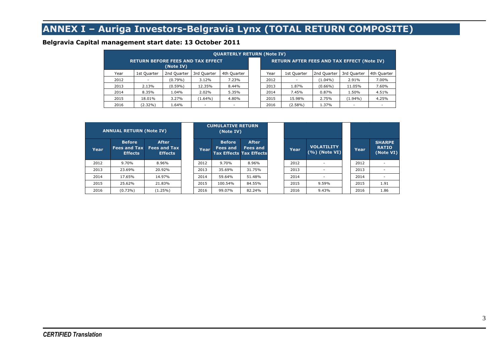# **ANNEX I – Auriga Investors-Belgravia Lynx (TOTAL RETURN COMPOSITE)**

#### **Belgravia Capital management start date: 13 October 2011**

| <b>QUARTERLY RETURN (Note IV)</b>                     |             |             |             |             |  |      |                                                   |             |                          |             |  |  |  |
|-------------------------------------------------------|-------------|-------------|-------------|-------------|--|------|---------------------------------------------------|-------------|--------------------------|-------------|--|--|--|
| <b>RETURN BEFORE FEES AND TAX EFFECT</b><br>(Note IV) |             |             |             |             |  |      | <b>RETURN AFTER FEES AND TAX EFFECT (Note IV)</b> |             |                          |             |  |  |  |
| Year                                                  | 1st Quarter | 2nd Quarter | 3rd Quarter | 4th Quarter |  | Year | 1st Quarter                                       | 2nd Quarter | 3rd Quarter              | 4th Quarter |  |  |  |
| 2012                                                  |             | $(0.79\%)$  | 3.12%       | 7.23%       |  | 2012 |                                                   | $(1.04\%)$  | 2.91%                    | 7.00%       |  |  |  |
| 2013                                                  | 2.13%       | $(0.59\%)$  | 12.35%      | 8.44%       |  | 2013 | 1.87%                                             | $(0.66\%)$  | 11.05%                   | 7.60%       |  |  |  |
| 2014                                                  | 8.35%       | 1.04%       | 2.02%       | 5.35%       |  | 2014 | 7.45%                                             | 0.87%       | 1.50%                    | 4.51%       |  |  |  |
| 2015                                                  | 18.01%      | 3.27%       | $(1.64\%)$  | 4.80%       |  | 2015 | 15.98%                                            | 2.75%       | $(1.94\%)$               | 4.25%       |  |  |  |
| 2016                                                  | $(2.32\%)$  | 1.64%       | ٠           |             |  | 2016 | $(2.58\%)$                                        | 1.37%       | $\overline{\phantom{a}}$ |             |  |  |  |

| <b>ANNUAL RETURN (Note IV)</b> |                                                        |                                                       | <b>CUMULATIVE RETURN</b><br>(Note IV) |                                  |                                                                   |      |                                       |       |                                            |
|--------------------------------|--------------------------------------------------------|-------------------------------------------------------|---------------------------------------|----------------------------------|-------------------------------------------------------------------|------|---------------------------------------|-------|--------------------------------------------|
| Year                           | <b>Before</b><br><b>Fees and Tax</b><br><b>Effects</b> | <b>After</b><br><b>Fees and Tax</b><br><b>Effects</b> | Year                                  | <b>Before</b><br><b>Fees and</b> | <b>After</b><br><b>Fees and</b><br><b>Tax Effects Tax Effects</b> | Year | <b>VOLATILITY</b><br>$(\%)$ (Note VI) | Year. | <b>SHARPE</b><br><b>RATIO</b><br>(Note VI) |
| 2012                           | 9.70%                                                  | 8.96%                                                 | 2012                                  | 9.70%                            | 8.96%                                                             | 2012 | $\overline{\phantom{a}}$              | 2012  |                                            |
| 2013                           | 23.69%                                                 | 20.92%                                                | 2013                                  | 35.69%                           | 31.75%                                                            | 2013 |                                       | 2013  |                                            |
| 2014                           | 17.65%                                                 | 14.97%                                                | 2014                                  | 59.64%                           | 51.48%                                                            | 2014 |                                       | 2014  |                                            |
| 2015                           | 25.62%                                                 | 21.83%                                                | 2015                                  | 100.54%                          | 84.55%                                                            | 2015 | 9.59%                                 | 2015  | 1.91                                       |
| 2016                           | $(0.73\%)$                                             | $(1.25\%)$                                            | 2016                                  | 99.07%                           | 82.24%                                                            | 2016 | 9.43%                                 | 2016  | 1.86                                       |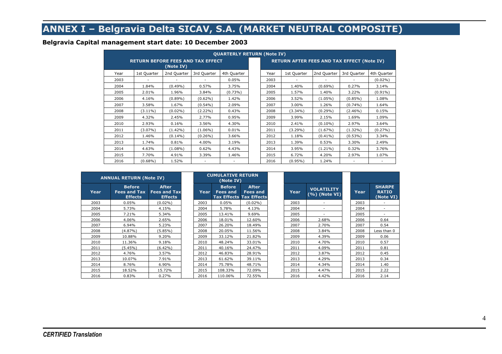# **ANNEX I – Belgravia Delta SICAV, S.A. (MARKET NEUTRAL COMPOSITE)**

#### **Belgravia Capital management start date: 10 December 2003**

| <b>QUARTERLY RETURN (Note IV)</b>                     |             |             |             |             |  |      |                                                   |             |                          |             |  |  |  |
|-------------------------------------------------------|-------------|-------------|-------------|-------------|--|------|---------------------------------------------------|-------------|--------------------------|-------------|--|--|--|
| <b>RETURN BEFORE FEES AND TAX EFFECT</b><br>(Note IV) |             |             |             |             |  |      | <b>RETURN AFTER FEES AND TAX EFFECT (Note IV)</b> |             |                          |             |  |  |  |
| Year                                                  | 1st Quarter | 2nd Quarter | 3rd Quarter | 4th Quarter |  | Year | 1st Quarter                                       | 2nd Quarter | 3rd Quarter              | 4th Quarter |  |  |  |
| 2003                                                  |             |             |             | 0.05%       |  | 2003 |                                                   |             | $\overline{\phantom{a}}$ | $(0.02\%)$  |  |  |  |
| 2004                                                  | 1.84%       | $(0.49\%)$  | 0.57%       | 3.75%       |  | 2004 | 1.40%                                             | $(0.69\%)$  | 0.27%                    | 3.14%       |  |  |  |
| 2005                                                  | 2.01%       | 1.96%       | 3.84%       | $(0.73\%)$  |  | 2005 | 1.57%                                             | 1.40%       | 3.22%                    | $(0.91\%)$  |  |  |  |
| 2006                                                  | 4.16%       | $(0.89\%)$  | $(0.62\%)$  | 1.42%       |  | 2006 | 3.52%                                             | $(1.05\%)$  | $(0.85\%)$               | 1.08%       |  |  |  |
| 2007                                                  | 3.58%       | 1.67%       | $(0.54\%)$  | 2.09%       |  | 2007 | 3.00%                                             | 1.26%       | $(0.74\%)$               | 1.64%       |  |  |  |
| 2008                                                  | $(3.11\%)$  | $(0.02\%)$  | $(2.22\%)$  | 0.43%       |  | 2008 | $(3.34\%)$                                        | $(0.29\%)$  | $(2.46\%)$               | 0.15%       |  |  |  |
| 2009                                                  | 4.32%       | 2.45%       | 2.77%       | 0.95%       |  | 2009 | 3.99%                                             | 2.15%       | 1.69%                    | 1.09%       |  |  |  |
| 2010                                                  | 2.93%       | 0.16%       | 3.56%       | 4.30%       |  | 2010 | 2.41%                                             | $(0.10\%)$  | 2.97%                    | 3.64%       |  |  |  |
| 2011                                                  | $(3.07\%)$  | $(1.42\%)$  | $(1.06\%)$  | 0.01%       |  | 2011 | $(3.29\%)$                                        | $(1.67\%)$  | $(1.32\%)$               | $(0.27\%)$  |  |  |  |
| 2012                                                  | 1.46%       | $(0.14\%)$  | $(0.26\%)$  | 3.66%       |  | 2012 | 1.18%                                             | $(0.41\%)$  | $(0.53\%)$               | 3.34%       |  |  |  |
| 2013                                                  | 1.74%       | 0.81%       | 4.00%       | 3.19%       |  | 2013 | 1.39%                                             | 0.53%       | 3.30%                    | 2.49%       |  |  |  |
| 2014                                                  | 4.63%       | $(1.08\%)$  | 0.62%       | 4.43%       |  | 2014 | 3.95%                                             | $(1.21\%)$  | 0.32%                    | 3.76%       |  |  |  |
| 2015                                                  | 7.70%       | 4.91%       | 3.39%       | 1.46%       |  | 2015 | 6.72%                                             | 4.20%       | 2.97%                    | 1.07%       |  |  |  |
| 2016                                                  | $(0.68\%)$  | 1.52%       |             |             |  | 2016 | $(0.95\%)$                                        | 1.24%       | $\overline{\phantom{a}}$ |             |  |  |  |

| <b>ANNUAL RETURN (Note IV)</b> |                                                        |                                                       | <b>CUMULATIVE RETURN</b><br>(Note IV) |      |                                  |                                                            |      |                                      |      |                                            |
|--------------------------------|--------------------------------------------------------|-------------------------------------------------------|---------------------------------------|------|----------------------------------|------------------------------------------------------------|------|--------------------------------------|------|--------------------------------------------|
| Year                           | <b>Before</b><br><b>Fees and Tax</b><br><b>Effects</b> | <b>After</b><br><b>Fees and Tax</b><br><b>Effects</b> |                                       | Year | <b>Before</b><br><b>Fees and</b> | <b>After</b><br>Fees and<br><b>Tax Effects Tax Effects</b> | Year | <b>VOLATILITY</b><br>$(%)$ (Note VI) | Year | <b>SHARPE</b><br><b>RATIO</b><br>(Note VI) |
| 2003                           | 0.05%                                                  | $(0.02\%)$                                            |                                       | 2003 | 0.05%                            | $(0.02\%)$                                                 | 2003 | $\overline{\phantom{a}}$             | 2003 | -                                          |
| 2004                           | 5.73%                                                  | 4.15%                                                 |                                       | 2004 | 5.78%                            | 4.13%                                                      | 2004 |                                      | 2004 | ۰                                          |
| 2005                           | 7.21%                                                  | 5.34%                                                 |                                       | 2005 | 13.41%                           | 9.69%                                                      | 2005 |                                      | 2005 |                                            |
| 2006                           | 4.06%                                                  | 2.65%                                                 |                                       | 2006 | 18.01%                           | 12.60%                                                     | 2006 | 2.68%                                | 2006 | 0.64                                       |
| 2007                           | 6.94%                                                  | 5.23%                                                 |                                       | 2007 | 26.20%                           | 18.49%                                                     | 2007 | 2.70%                                | 2007 | 0.54                                       |
| 2008                           | $(4.87\%)$                                             | (5.85%)                                               |                                       | 2008 | 20.05%                           | 11.56%                                                     | 2008 | 3.84%                                | 2008 | Less than 0                                |
| 2009                           | 10.88%                                                 | 9.20%                                                 |                                       | 2009 | 33.12%                           | 21.82%                                                     | 2009 | 4.39%                                | 2009 | 0.06                                       |
| 2010                           | 11.36%                                                 | 9.18%                                                 |                                       | 2010 | 48.24%                           | 33.01%                                                     | 2010 | 4.70%                                | 2010 | 0.57                                       |
| 2011                           | $(5.45\%)$                                             | $(6.42\%)$                                            |                                       | 2011 | 40.16%                           | 24.47%                                                     | 2011 | 4.09%                                | 2011 | 0.81                                       |
| 2012                           | 4.76%                                                  | 3.57%                                                 |                                       | 2012 | 46.83%                           | 28.91%                                                     | 2012 | 3.87%                                | 2012 | 0.45                                       |
| 2013                           | 10.07%                                                 | 7.91%                                                 |                                       | 2013 | 61.62%                           | 39.11%                                                     | 2013 | 4.29%                                | 2013 | 0.34                                       |
| 2014                           | 8.76%                                                  | 6.90%                                                 |                                       | 2014 | 75.78%                           | 48.71%                                                     | 2014 | 4.34%                                | 2014 | 1.40                                       |
| 2015                           | 18.52%                                                 | 15.72%                                                |                                       | 2015 | 108.33%                          | 72.09%                                                     | 2015 | 4.47%                                | 2015 | 2.22                                       |
| 2016                           | 0.83%                                                  | 0.27%                                                 |                                       | 2016 | 110.06%                          | 72.55%                                                     | 2016 | 4.42%                                | 2016 | 2.14                                       |